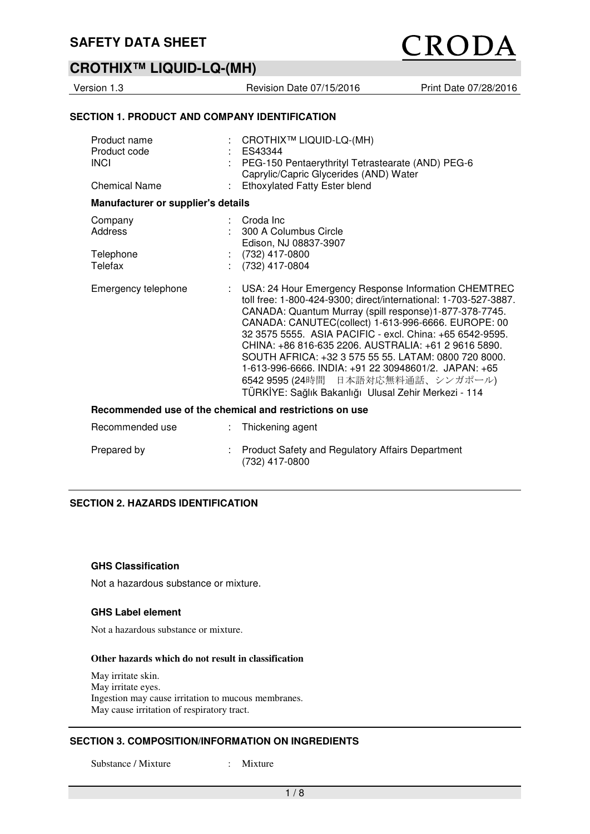# **CROTHIX™ LIQUID-LQ-(MH)**

Version 1.3 **Revision Date 07/15/2016** Print Date 07/28/2016

#### **SECTION 1. PRODUCT AND COMPANY IDENTIFICATION**

| Product name<br>Product code<br><b>INCI</b><br><b>Chemical Name</b> | CROTHIX™ LIQUID-LQ-(MH)<br>ES43344<br>PEG-150 Pentaerythrityl Tetrastearate (AND) PEG-6<br>Caprylic/Capric Glycerides (AND) Water<br><b>Ethoxylated Fatty Ester blend</b>                                                                                                                                                                                                                                                                                                                                                                                                       |  |  |  |
|---------------------------------------------------------------------|---------------------------------------------------------------------------------------------------------------------------------------------------------------------------------------------------------------------------------------------------------------------------------------------------------------------------------------------------------------------------------------------------------------------------------------------------------------------------------------------------------------------------------------------------------------------------------|--|--|--|
| Manufacturer or supplier's details                                  |                                                                                                                                                                                                                                                                                                                                                                                                                                                                                                                                                                                 |  |  |  |
| Company<br>Address<br>Telephone<br>Telefax                          | Croda Inc<br>300 A Columbus Circle<br>Edison, NJ 08837-3907<br>$(732)$ 417-0800<br>$(732)$ 417-0804                                                                                                                                                                                                                                                                                                                                                                                                                                                                             |  |  |  |
| Emergency telephone                                                 | USA: 24 Hour Emergency Response Information CHEMTREC<br>÷<br>toll free: 1-800-424-9300; direct/international: 1-703-527-3887.<br>CANADA: Quantum Murray (spill response)1-877-378-7745.<br>CANADA: CANUTEC(collect) 1-613-996-6666. EUROPE: 00<br>32 3575 5555, ASIA PACIFIC - excl. China: +65 6542-9595.<br>CHINA: +86 816-635 2206. AUSTRALIA: +61 2 9616 5890.<br>SOUTH AFRICA: +32 3 575 55 55. LATAM: 0800 720 8000.<br>1-613-996-6666. INDIA: +91 22 30948601/2. JAPAN: +65<br>6542 9595 (24時間 日本語対応無料通話、シンガポール)<br>TÜRKİYE: Sağlık Bakanlığı Ulusal Zehir Merkezi - 114 |  |  |  |
| Recommended use of the chemical and restrictions on use             |                                                                                                                                                                                                                                                                                                                                                                                                                                                                                                                                                                                 |  |  |  |
| Recommended use                                                     | Thickening agent<br>t.                                                                                                                                                                                                                                                                                                                                                                                                                                                                                                                                                          |  |  |  |
| Prepared by                                                         | <b>Product Safety and Regulatory Affairs Department</b><br>(732) 417-0800                                                                                                                                                                                                                                                                                                                                                                                                                                                                                                       |  |  |  |

#### **SECTION 2. HAZARDS IDENTIFICATION**

#### **GHS Classification**

Not a hazardous substance or mixture.

#### **GHS Label element**

Not a hazardous substance or mixture.

#### **Other hazards which do not result in classification**

May irritate skin. May irritate eyes. Ingestion may cause irritation to mucous membranes. May cause irritation of respiratory tract.

#### **SECTION 3. COMPOSITION/INFORMATION ON INGREDIENTS**

Substance / Mixture : Mixture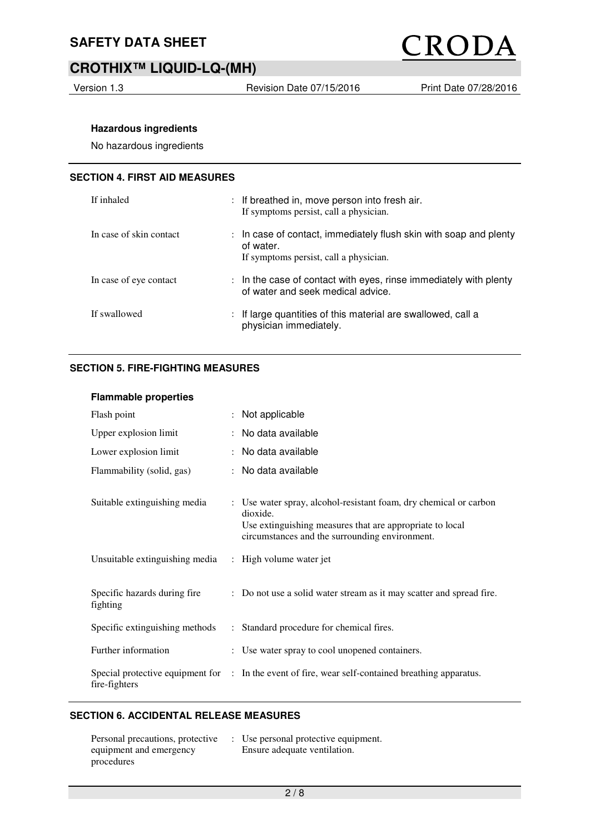

# **CROTHIX™ LIQUID-LQ-(MH)**

Version 1.3 **Revision Date 07/15/2016** Print Date 07/28/2016

#### **Hazardous ingredients**

No hazardous ingredients

#### **SECTION 4. FIRST AID MEASURES**

| If inhaled              |                           | : If breathed in, move person into fresh air.<br>If symptoms persist, call a physician.                                |
|-------------------------|---------------------------|------------------------------------------------------------------------------------------------------------------------|
| In case of skin contact | $\mathbb{R}^{\mathbb{Z}}$ | In case of contact, immediately flush skin with soap and plenty<br>of water.<br>If symptoms persist, call a physician. |
| In case of eye contact  |                           | $:$ In the case of contact with eyes, rinse immediately with plenty<br>of water and seek medical advice.               |
| If swallowed            |                           | If large quantities of this material are swallowed, call a<br>physician immediately.                                   |

#### **SECTION 5. FIRE-FIGHTING MEASURES**

#### **Flammable properties**

| Flash point                              |                           | Not applicable                                                                                                                                                                              |
|------------------------------------------|---------------------------|---------------------------------------------------------------------------------------------------------------------------------------------------------------------------------------------|
| Upper explosion limit                    |                           | : No data available                                                                                                                                                                         |
| Lower explosion limit                    |                           | No data available                                                                                                                                                                           |
| Flammability (solid, gas)                |                           | : No data available                                                                                                                                                                         |
| Suitable extinguishing media             |                           | : Use water spray, alcohol-resistant foam, dry chemical or carbon<br>dioxide.<br>Use extinguishing measures that are appropriate to local<br>circumstances and the surrounding environment. |
| Unsuitable extinguishing media           |                           | : High volume water jet                                                                                                                                                                     |
| Specific hazards during fire<br>fighting |                           | : Do not use a solid water stream as it may scatter and spread fire.                                                                                                                        |
| Specific extinguishing methods           | $\mathbb{R}^{\mathbb{Z}}$ | Standard procedure for chemical fires.                                                                                                                                                      |
| Further information                      |                           | : Use water spray to cool unopened containers.                                                                                                                                              |
| fire-fighters                            |                           | Special protective equipment for : In the event of fire, wear self-contained breathing apparatus.                                                                                           |

#### **SECTION 6. ACCIDENTAL RELEASE MEASURES**

| Personal precautions, protective | : Use personal protective equipment. |
|----------------------------------|--------------------------------------|
| equipment and emergency          | Ensure adequate ventilation.         |
| procedures                       |                                      |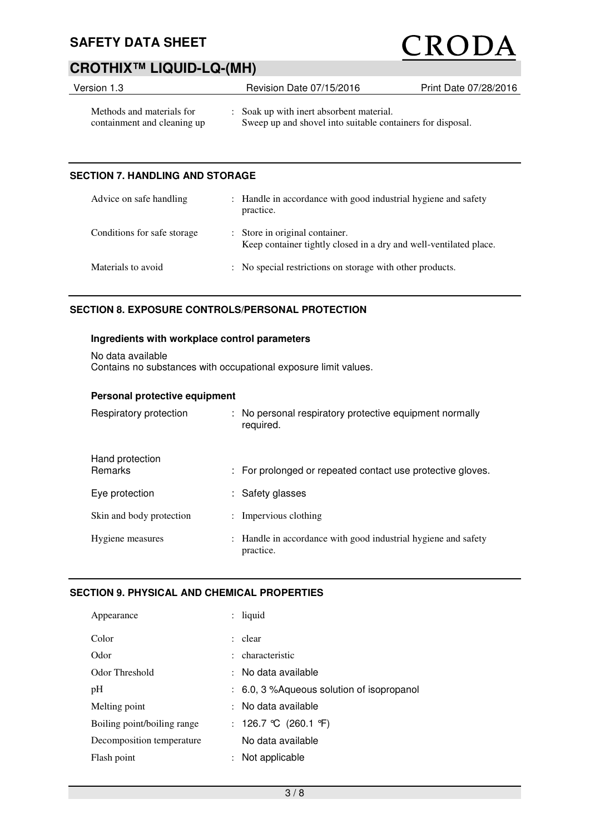# CRODA

# **CROTHIX™ LIQUID-LQ-(MH)**

| Version 1.3                                              | Revision Date 07/15/2016                                                                               | Print Date 07/28/2016 |
|----------------------------------------------------------|--------------------------------------------------------------------------------------------------------|-----------------------|
| Methods and materials for<br>containment and cleaning up | : Soak up with inert absorbent material.<br>Sweep up and shovel into suitable containers for disposal. |                       |

#### **SECTION 7. HANDLING AND STORAGE**

| Advice on safe handling     | : Handle in accordance with good industrial hygiene and safety<br>practice.                         |
|-----------------------------|-----------------------------------------------------------------------------------------------------|
| Conditions for safe storage | : Store in original container.<br>Keep container tightly closed in a dry and well-ventilated place. |
| Materials to avoid          | : No special restrictions on storage with other products.                                           |

### **SECTION 8. EXPOSURE CONTROLS/PERSONAL PROTECTION**

#### **Ingredients with workplace control parameters**

No data available Contains no substances with occupational exposure limit values.

#### **Personal protective equipment**

| Respiratory protection            | : No personal respiratory protective equipment normally<br>required.        |
|-----------------------------------|-----------------------------------------------------------------------------|
| Hand protection<br><b>Remarks</b> | : For prolonged or repeated contact use protective gloves.                  |
| Eye protection                    | : Safety glasses                                                            |
| Skin and body protection          | $:$ Impervious clothing                                                     |
| Hygiene measures                  | : Handle in accordance with good industrial hygiene and safety<br>practice. |

#### **SECTION 9. PHYSICAL AND CHEMICAL PROPERTIES**

| Appearance                  |                      | $:$ liquid                                            |
|-----------------------------|----------------------|-------------------------------------------------------|
| Color                       |                      | : clear                                               |
| Odor                        |                      | : characteristic                                      |
| Odor Threshold              |                      | : No data available                                   |
| pH                          |                      | $\therefore$ 6.0, 3 % Aqueous solution of isopropanol |
| Melting point               |                      | : No data available                                   |
| Boiling point/boiling range |                      | : 126.7 °C (260.1 °F)                                 |
| Decomposition temperature   |                      | No data available                                     |
| Flash point                 | $\ddot{\phantom{0}}$ | Not applicable                                        |
|                             |                      |                                                       |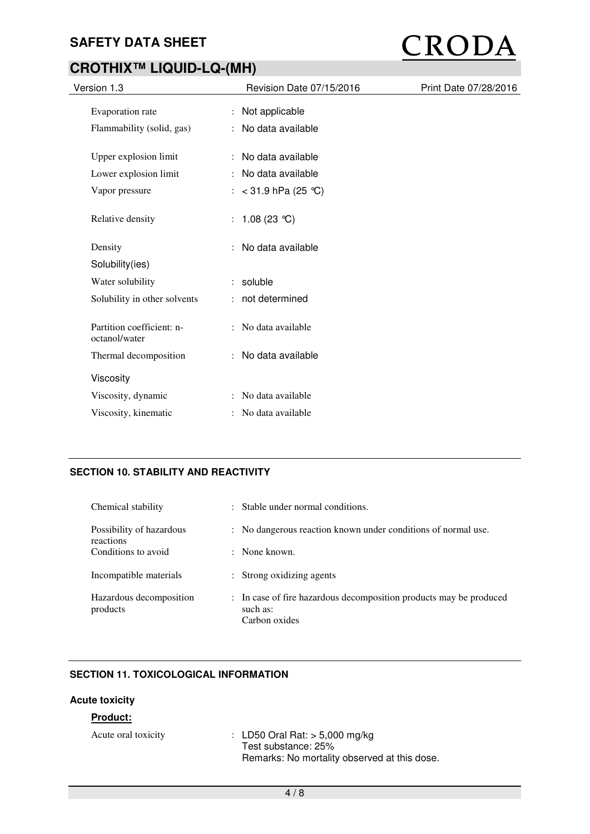# CRODA

# **CROTHIX™ LIQUID-LQ-(MH)**

| Version 1.3                                | Revision Date 07/15/2016 | Print Date 07/28/2016 |
|--------------------------------------------|--------------------------|-----------------------|
| Evaporation rate                           | : Not applicable         |                       |
| Flammability (solid, gas)                  | : No data available      |                       |
| Upper explosion limit                      | : No data available      |                       |
| Lower explosion limit                      | : No data available      |                       |
| Vapor pressure                             | : $<$ 31.9 hPa (25 °C)   |                       |
| Relative density                           | : $1.08(23 °C)$          |                       |
| Density                                    | No data available        |                       |
| Solubility(ies)                            |                          |                       |
| Water solubility                           | : soluble                |                       |
| Solubility in other solvents               | : not determined         |                       |
| Partition coefficient: n-<br>octanol/water | : No data available      |                       |
| Thermal decomposition                      | : No data available      |                       |
| Viscosity                                  |                          |                       |
| Viscosity, dynamic                         | : No data available      |                       |
| Viscosity, kinematic                       | No data available        |                       |

## **SECTION 10. STABILITY AND REACTIVITY**

| Chemical stability                    | : Stable under normal conditions.                                                               |
|---------------------------------------|-------------------------------------------------------------------------------------------------|
| Possibility of hazardous<br>reactions | : No dangerous reaction known under conditions of normal use.                                   |
| Conditions to avoid                   | $\therefore$ None known.                                                                        |
| Incompatible materials                | : Strong oxidizing agents                                                                       |
| Hazardous decomposition<br>products   | : In case of fire hazardous decomposition products may be produced<br>such as:<br>Carbon oxides |

### **SECTION 11. TOXICOLOGICAL INFORMATION**

#### **Acute toxicity**

### **Product:**

| Acute oral toxicity | : LD50 Oral Rat: $>$ 5,000 mg/kg             |
|---------------------|----------------------------------------------|
|                     | Test substance: 25%                          |
|                     | Remarks: No mortality observed at this dose. |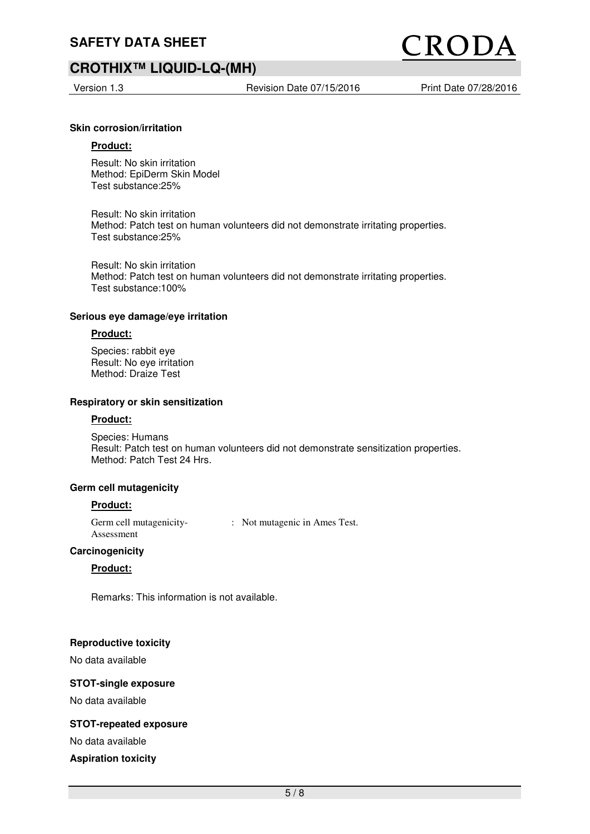## **CROTHIX™ LIQUID-LQ-(MH)**

Version 1.3 **Revision Date 07/15/2016** Print Date 07/28/2016

ROI

#### **Skin corrosion/irritation**

#### **Product:**

Result: No skin irritation Method: EpiDerm Skin Model Test substance:25%

Result: No skin irritation Method: Patch test on human volunteers did not demonstrate irritating properties. Test substance:25%

Result: No skin irritation Method: Patch test on human volunteers did not demonstrate irritating properties. Test substance:100%

#### **Serious eye damage/eye irritation**

#### **Product:**

Species: rabbit eye Result: No eye irritation Method: Draize Test

#### **Respiratory or skin sensitization**

#### **Product:**

Species: Humans Result: Patch test on human volunteers did not demonstrate sensitization properties. Method: Patch Test 24 Hrs.

#### **Germ cell mutagenicity**

#### **Product:**

Germ cell mutagenicity-Assessment : Not mutagenic in Ames Test.

#### **Carcinogenicity**

#### **Product:**

Remarks: This information is not available.

#### **Reproductive toxicity**

No data available

#### **STOT-single exposure**

No data available

#### **STOT-repeated exposure**

No data available

#### **Aspiration toxicity**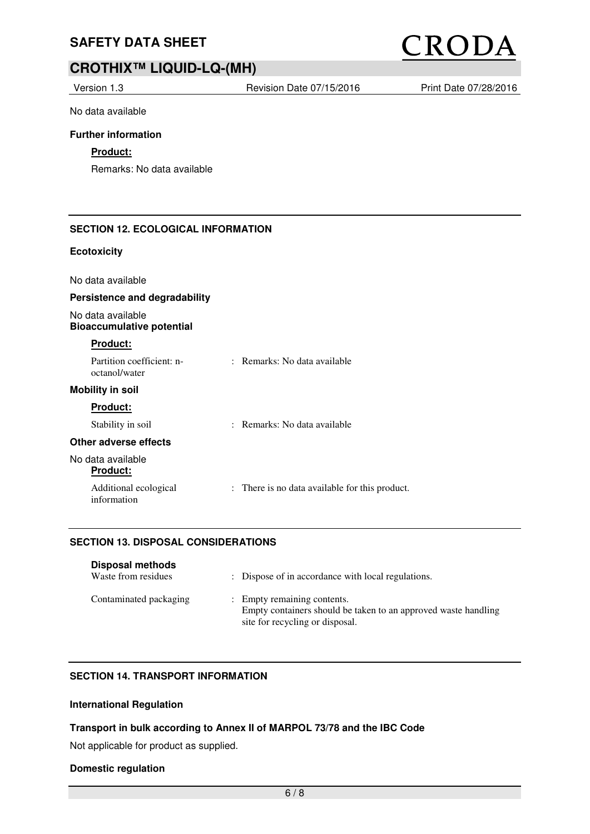# CRODA

# **CROTHIX™ LIQUID-LQ-(MH)**

Version 1.3 **Revision Date 07/15/2016** Print Date 07/28/2016

No data available

#### **Further information**

### **Product:**

Remarks: No data available

#### **SECTION 12. ECOLOGICAL INFORMATION**

#### **Ecotoxicity**

| No data available |  |
|-------------------|--|
|-------------------|--|

#### **Persistence and degradability**

No data available **Bioaccumulative potential** 

#### **Product:**

| Partition coefficient: n-<br>octanol/water | : Remarks: No data available                   |
|--------------------------------------------|------------------------------------------------|
| <b>Mobility in soil</b>                    |                                                |
| <b>Product:</b>                            |                                                |
| Stability in soil                          | : Remarks: No data available                   |
| Other adverse effects                      |                                                |
| No data available<br><b>Product:</b>       |                                                |
| Additional ecological<br>information       | : There is no data available for this product. |

#### **SECTION 13. DISPOSAL CONSIDERATIONS**

| <b>Disposal methods</b><br>Waste from residues | : Dispose of in accordance with local regulations.                                                                               |
|------------------------------------------------|----------------------------------------------------------------------------------------------------------------------------------|
| Contaminated packaging                         | : Empty remaining contents.<br>Empty containers should be taken to an approved waste handling<br>site for recycling or disposal. |

#### **SECTION 14. TRANSPORT INFORMATION**

### **International Regulation**

#### **Transport in bulk according to Annex II of MARPOL 73/78 and the IBC Code**

Not applicable for product as supplied.

#### **Domestic regulation**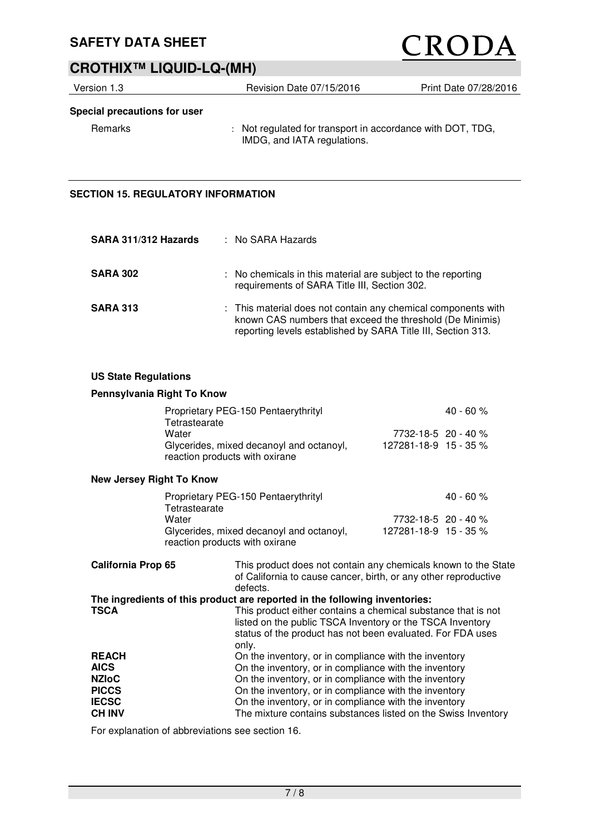# CRODA

# **CROTHIX™ LIQUID-LQ-(MH)**

| Version 1.3                  | Revision Date 07/15/2016                                                                  | Print Date 07/28/2016 |
|------------------------------|-------------------------------------------------------------------------------------------|-----------------------|
| Special precautions for user |                                                                                           |                       |
| Remarks                      | : Not regulated for transport in accordance with DOT, TDG,<br>IMDG, and IATA regulations. |                       |

## **SECTION 15. REGULATORY INFORMATION**

| SARA 311/312 Hazards | : No SARA Hazards                                                                                                                                                                         |
|----------------------|-------------------------------------------------------------------------------------------------------------------------------------------------------------------------------------------|
| <b>SARA 302</b>      | : No chemicals in this material are subject to the reporting<br>requirements of SARA Title III, Section 302.                                                                              |
| <b>SARA 313</b>      | : This material does not contain any chemical components with<br>known CAS numbers that exceed the threshold (De Minimis)<br>reporting levels established by SARA Title III, Section 313. |

#### **US State Regulations**

#### **Pennsylvania Right To Know**

| Proprietary PEG-150 Pentaerythrityl                                        |                             | $40 - 60 \%$ |
|----------------------------------------------------------------------------|-----------------------------|--------------|
| Tetrastearate                                                              |                             |              |
| Water                                                                      | 7732-18-5 20 - 40 %         |              |
| Glycerides, mixed decanoyl and octanoyl,<br>reaction products with oxirane | $127281 - 18 - 9$ 15 - 35 % |              |

#### **New Jersey Right To Know**

| Proprietary PEG-150 Pentaerythrityl      | $40 - 60 %$                 |
|------------------------------------------|-----------------------------|
| Tetrastearate                            |                             |
| Water                                    | 7732-18-5 20 - 40 %         |
| Glycerides, mixed decanoyl and octanoyl, | $127281 - 18 - 9$ 15 - 35 % |
| reaction products with oxirane           |                             |

| <b>California Prop 65</b> | This product does not contain any chemicals known to the State<br>of California to cause cancer, birth, or any other reproductive<br>defects.                                                     |
|---------------------------|---------------------------------------------------------------------------------------------------------------------------------------------------------------------------------------------------|
|                           | The ingredients of this product are reported in the following inventories:                                                                                                                        |
| <b>TSCA</b>               | This product either contains a chemical substance that is not<br>listed on the public TSCA Inventory or the TSCA Inventory<br>status of the product has not been evaluated. For FDA uses<br>only. |
| <b>REACH</b>              | On the inventory, or in compliance with the inventory                                                                                                                                             |
| <b>AICS</b>               | On the inventory, or in compliance with the inventory                                                                                                                                             |
| <b>NZIoC</b>              | On the inventory, or in compliance with the inventory                                                                                                                                             |
| <b>PICCS</b>              | On the inventory, or in compliance with the inventory                                                                                                                                             |
| <b>IECSC</b>              | On the inventory, or in compliance with the inventory                                                                                                                                             |
| <b>CH INV</b>             | The mixture contains substances listed on the Swiss Inventory                                                                                                                                     |

For explanation of abbreviations see section 16.